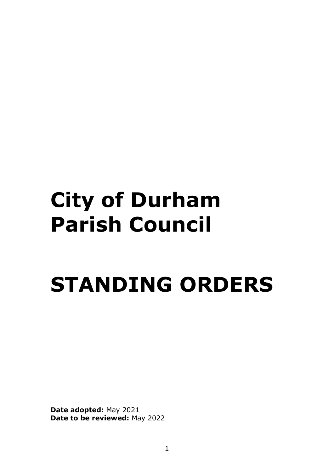## **City of Durham Parish Council**

# **STANDING ORDERS**

**Date adopted:** May 2021 **Date to be reviewed:** May 2022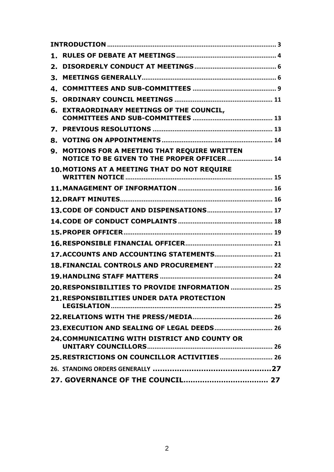| 1. |                                                                                                   |  |
|----|---------------------------------------------------------------------------------------------------|--|
| 2. |                                                                                                   |  |
| З. |                                                                                                   |  |
| 4. |                                                                                                   |  |
| 5. |                                                                                                   |  |
| 6. | <b>EXTRAORDINARY MEETINGS OF THE COUNCIL,</b>                                                     |  |
| 7. |                                                                                                   |  |
| 8. |                                                                                                   |  |
| 9. | <b>MOTIONS FOR A MEETING THAT REQUIRE WRITTEN</b><br>NOTICE TO BE GIVEN TO THE PROPER OFFICER  14 |  |
|    | 10. MOTIONS AT A MEETING THAT DO NOT REQUIRE                                                      |  |
|    |                                                                                                   |  |
|    |                                                                                                   |  |
|    |                                                                                                   |  |
|    |                                                                                                   |  |
|    |                                                                                                   |  |
|    |                                                                                                   |  |
|    |                                                                                                   |  |
|    |                                                                                                   |  |
|    |                                                                                                   |  |
|    | 20. RESPONSIBILITIES TO PROVIDE INFORMATION  25                                                   |  |
|    | <b>21. RESPONSIBILITIES UNDER DATA PROTECTION</b>                                                 |  |
|    |                                                                                                   |  |
|    |                                                                                                   |  |
|    | 24. COMMUNICATING WITH DISTRICT AND COUNTY OR                                                     |  |
|    |                                                                                                   |  |
|    |                                                                                                   |  |
|    |                                                                                                   |  |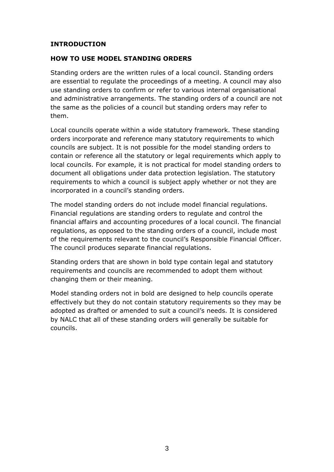#### <span id="page-2-0"></span>**INTRODUCTION**

#### **HOW TO USE MODEL STANDING ORDERS**

Standing orders are the written rules of a local council. Standing orders are essential to regulate the proceedings of a meeting. A council may also use standing orders to confirm or refer to various internal organisational and administrative arrangements. The standing orders of a council are not the same as the policies of a council but standing orders may refer to them.

Local councils operate within a wide statutory framework. These standing orders incorporate and reference many statutory requirements to which councils are subject. It is not possible for the model standing orders to contain or reference all the statutory or legal requirements which apply to local councils. For example, it is not practical for model standing orders to document all obligations under data protection legislation. The statutory requirements to which a council is subject apply whether or not they are incorporated in a council's standing orders.

The model standing orders do not include model financial regulations. Financial regulations are standing orders to regulate and control the financial affairs and accounting procedures of a local council. The financial regulations, as opposed to the standing orders of a council, include most of the requirements relevant to the council's Responsible Financial Officer. The council produces separate financial regulations.

Standing orders that are shown in bold type contain legal and statutory requirements and councils are recommended to adopt them without changing them or their meaning.

Model standing orders not in bold are designed to help councils operate effectively but they do not contain statutory requirements so they may be adopted as drafted or amended to suit a council's needs. It is considered by NALC that all of these standing orders will generally be suitable for councils.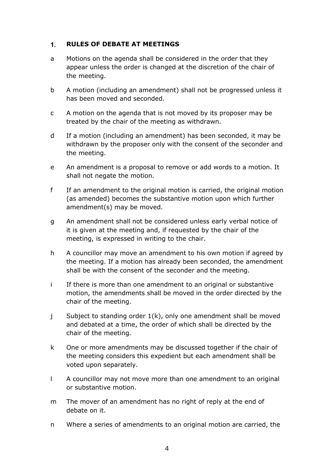#### <span id="page-3-0"></span> $1<sub>1</sub>$ **RULES OF DEBATE AT MEETINGS**

- a Motions on the agenda shall be considered in the order that they appear unless the order is changed at the discretion of the chair of the meeting.
- b A motion (including an amendment) shall not be progressed unless it has been moved and seconded.
- c A motion on the agenda that is not moved by its proposer may be treated by the chair of the meeting as withdrawn.
- d If a motion (including an amendment) has been seconded, it may be withdrawn by the proposer only with the consent of the seconder and the meeting.
- e An amendment is a proposal to remove or add words to a motion. It shall not negate the motion.
- f If an amendment to the original motion is carried, the original motion (as amended) becomes the substantive motion upon which further amendment(s) may be moved.
- g An amendment shall not be considered unless early verbal notice of it is given at the meeting and, if requested by the chair of the meeting, is expressed in writing to the chair.
- h A councillor may move an amendment to his own motion if agreed by the meeting. If a motion has already been seconded, the amendment shall be with the consent of the seconder and the meeting.
- i If there is more than one amendment to an original or substantive motion, the amendments shall be moved in the order directed by the chair of the meeting.
- j Subject to standing order 1(k), only one amendment shall be moved and debated at a time, the order of which shall be directed by the chair of the meeting.
- k One or more amendments may be discussed together if the chair of the meeting considers this expedient but each amendment shall be voted upon separately.
- l A councillor may not move more than one amendment to an original or substantive motion.
- m The mover of an amendment has no right of reply at the end of debate on it.
- n Where a series of amendments to an original motion are carried, the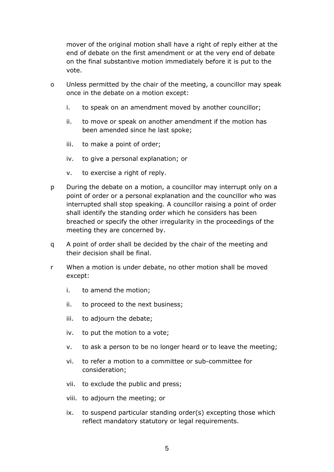mover of the original motion shall have a right of reply either at the end of debate on the first amendment or at the very end of debate on the final substantive motion immediately before it is put to the vote.

- o Unless permitted by the chair of the meeting, a councillor may speak once in the debate on a motion except:
	- i. to speak on an amendment moved by another councillor;
	- ii. to move or speak on another amendment if the motion has been amended since he last spoke;
	- iii. to make a point of order;
	- iv. to give a personal explanation; or
	- v. to exercise a right of reply.
- p During the debate on a motion, a councillor may interrupt only on a point of order or a personal explanation and the councillor who was interrupted shall stop speaking. A councillor raising a point of order shall identify the standing order which he considers has been breached or specify the other irregularity in the proceedings of the meeting they are concerned by.
- q A point of order shall be decided by the chair of the meeting and their decision shall be final.
- r When a motion is under debate, no other motion shall be moved except:
	- i. to amend the motion;
	- ii. to proceed to the next business;
	- iii. to adjourn the debate;
	- iv. to put the motion to a vote;
	- v. to ask a person to be no longer heard or to leave the meeting;
	- vi. to refer a motion to a committee or sub-committee for consideration;
	- vii. to exclude the public and press;
	- viii. to adjourn the meeting; or
	- ix. to suspend particular standing order(s) excepting those which reflect mandatory statutory or legal requirements.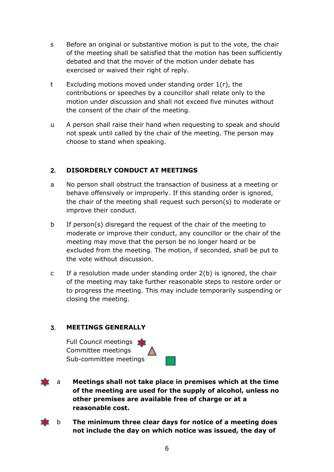- s Before an original or substantive motion is put to the vote, the chair of the meeting shall be satisfied that the motion has been sufficiently debated and that the mover of the motion under debate has exercised or waived their right of reply.
- t Excluding motions moved under standing order 1(r), the contributions or speeches by a councillor shall relate only to the motion under discussion and shall not exceed five minutes without the consent of the chair of the meeting.
- u A person shall raise their hand when requesting to speak and should not speak until called by the chair of the meeting. The person may choose to stand when speaking.

#### <span id="page-5-0"></span> $2.$ **DISORDERLY CONDUCT AT MEETINGS**

- a No person shall obstruct the transaction of business at a meeting or behave offensively or improperly. If this standing order is ignored, the chair of the meeting shall request such person(s) to moderate or improve their conduct.
- b If person(s) disregard the request of the chair of the meeting to moderate or improve their conduct, any councillor or the chair of the meeting may move that the person be no longer heard or be excluded from the meeting. The motion, if seconded, shall be put to the vote without discussion.
- c If a resolution made under standing order 2(b) is ignored, the chair of the meeting may take further reasonable steps to restore order or to progress the meeting. This may include temporarily suspending or closing the meeting.

#### <span id="page-5-1"></span> $3<sub>1</sub>$ **MEETINGS GENERALLY**

Full Council meetings Committee meetings Sub-committee meetings



- a **Meetings shall not take place in premises which at the time of the meeting are used for the supply of alcohol, unless no other premises are available free of charge or at a reasonable cost.** 
	- b **The minimum three clear days for notice of a meeting does not include the day on which notice was issued, the day of**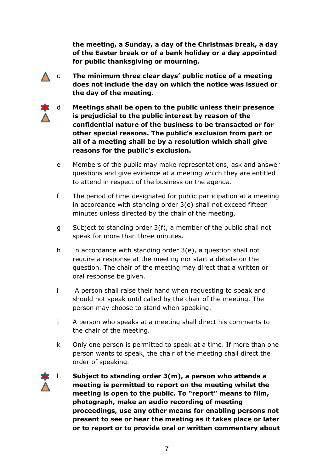**the meeting, a Sunday, a day of the Christmas break, a day of the Easter break or of a bank holiday or a day appointed for public thanksgiving or mourning.**

- c **The minimum three clear days' public notice of a meeting does not include the day on which the notice was issued or the day of the meeting.**
	- d **Meetings shall be open to the public unless their presence is prejudicial to the public interest by reason of the confidential nature of the business to be transacted or for other special reasons. The public's exclusion from part or all of a meeting shall be by a resolution which shall give reasons for the public's exclusion.**
	- e Members of the public may make representations, ask and answer questions and give evidence at a meeting which they are entitled to attend in respect of the business on the agenda.
	- f The period of time designated for public participation at a meeting in accordance with standing order 3(e) shall not exceed fifteen minutes unless directed by the chair of the meeting.
	- g Subject to standing order 3(f), a member of the public shall not speak for more than three minutes.
	- h In accordance with standing order 3(e), a question shall not require a response at the meeting nor start a debate on the question. The chair of the meeting may direct that a written or oral response be given.
	- i A person shall raise their hand when requesting to speak and should not speak until called by the chair of the meeting. The person may choose to stand when speaking.
	- j A person who speaks at a meeting shall direct his comments to the chair of the meeting.
	- k Only one person is permitted to speak at a time. If more than one person wants to speak, the chair of the meeting shall direct the order of speaking.



l **Subject to standing order 3(m), a person who attends a meeting is permitted to report on the meeting whilst the meeting is open to the public. To "report" means to film, photograph, make an audio recording of meeting proceedings, use any other means for enabling persons not present to see or hear the meeting as it takes place or later or to report or to provide oral or written commentary about**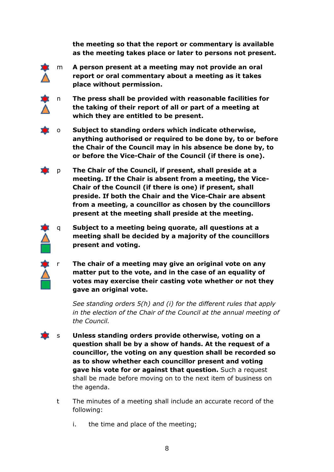**the meeting so that the report or commentary is available as the meeting takes place or later to persons not present.**



m **A person present at a meeting may not provide an oral report or oral commentary about a meeting as it takes place without permission.** 

n **The press shall be provided with reasonable facilities for the taking of their report of all or part of a meeting at which they are entitled to be present.** 

o **Subject to standing orders which indicate otherwise, anything authorised or required to be done by, to or before the Chair of the Council may in his absence be done by, to or before the Vice-Chair of the Council (if there is one).**

p **The Chair of the Council, if present, shall preside at a meeting. If the Chair is absent from a meeting, the Vice-Chair of the Council (if there is one) if present, shall preside. If both the Chair and the Vice-Chair are absent from a meeting, a councillor as chosen by the councillors present at the meeting shall preside at the meeting.**

q **Subject to a meeting being quorate, all questions at a meeting shall be decided by a majority of the councillors present and voting.**

r **The chair of a meeting may give an original vote on any matter put to the vote, and in the case of an equality of votes may exercise their casting vote whether or not they gave an original vote.**

*See standing orders 5(h) and (i) for the different rules that apply in the election of the Chair of the Council at the annual meeting of the Council.*

- s **Unless standing orders provide otherwise, voting on a question shall be by a show of hands. At the request of a councillor, the voting on any question shall be recorded so as to show whether each councillor present and voting gave his vote for or against that question.** Such a request shall be made before moving on to the next item of business on the agenda.
	- t The minutes of a meeting shall include an accurate record of the following:
		- i. the time and place of the meeting;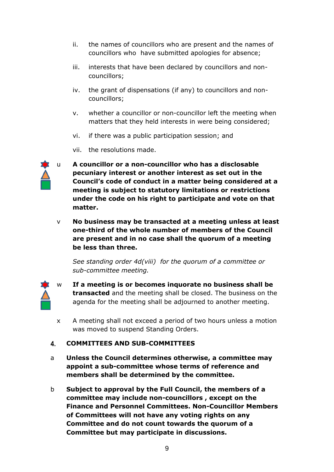- ii. the names of councillors who are present and the names of councillors who have submitted apologies for absence;
- iii. interests that have been declared by councillors and noncouncillors;
- iv. the grant of dispensations (if any) to councillors and noncouncillors;
- v. whether a councillor or non-councillor left the meeting when matters that they held interests in were being considered;
- vi. if there was a public participation session; and
- vii. the resolutions made.



u **A councillor or a non-councillor who has a disclosable pecuniary interest or another interest as set out in the Council's code of conduct in a matter being considered at a meeting is subject to statutory limitations or restrictions under the code on his right to participate and vote on that matter.**

v **No business may be transacted at a meeting unless at least one-third of the whole number of members of the Council are present and in no case shall the quorum of a meeting be less than three.**

*See standing order 4d(viii) for the quorum of a committee or sub-committee meeting.* 

- 
- w **If a meeting is or becomes inquorate no business shall be transacted** and the meeting shall be closed. The business on the agenda for the meeting shall be adjourned to another meeting.
- x A meeting shall not exceed a period of two hours unless a motion was moved to suspend Standing Orders.

#### <span id="page-8-0"></span>**COMMITTEES AND SUB-COMMITTEES**  $4<sup>1</sup>$

- a **Unless the Council determines otherwise, a committee may appoint a sub-committee whose terms of reference and members shall be determined by the committee.**
- b **Subject to approval by the Full Council, the members of a committee may include non-councillors , except on the Finance and Personnel Committees. Non-Councillor Members of Committees will not have any voting rights on any Committee and do not count towards the quorum of a Committee but may participate in discussions.**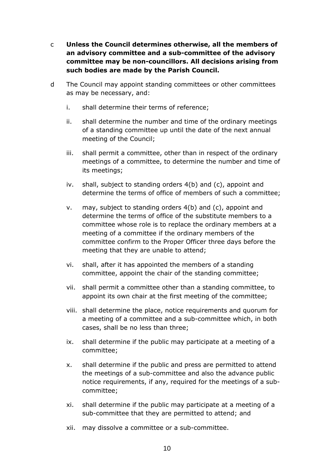- c **Unless the Council determines otherwise, all the members of an advisory committee and a sub-committee of the advisory committee may be non-councillors. All decisions arising from such bodies are made by the Parish Council.**
- d The Council may appoint standing committees or other committees as may be necessary, and:
	- i. shall determine their terms of reference;
	- ii. shall determine the number and time of the ordinary meetings of a standing committee up until the date of the next annual meeting of the Council;
	- iii. shall permit a committee, other than in respect of the ordinary meetings of a committee, to determine the number and time of its meetings;
	- iv. shall, subject to standing orders 4(b) and (c), appoint and determine the terms of office of members of such a committee;
	- v. may, subject to standing orders 4(b) and (c), appoint and determine the terms of office of the substitute members to a committee whose role is to replace the ordinary members at a meeting of a committee if the ordinary members of the committee confirm to the Proper Officer three days before the meeting that they are unable to attend;
	- vi. shall, after it has appointed the members of a standing committee, appoint the chair of the standing committee;
	- vii. shall permit a committee other than a standing committee, to appoint its own chair at the first meeting of the committee;
	- viii. shall determine the place, notice requirements and quorum for a meeting of a committee and a sub-committee which, in both cases, shall be no less than three;
	- ix. shall determine if the public may participate at a meeting of a committee;
	- x. shall determine if the public and press are permitted to attend the meetings of a sub-committee and also the advance public notice requirements, if any, required for the meetings of a subcommittee;
	- xi. shall determine if the public may participate at a meeting of a sub-committee that they are permitted to attend; and
	- xii. may dissolve a committee or a sub-committee.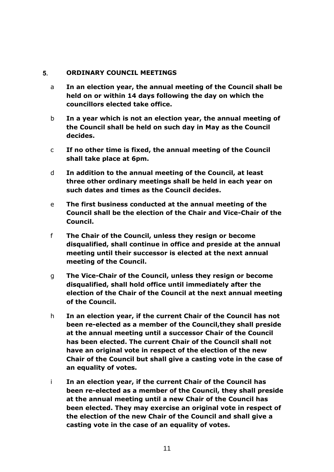#### <span id="page-10-0"></span>**ORDINARY COUNCIL MEETINGS**  5.

- a **In an election year, the annual meeting of the Council shall be held on or within 14 days following the day on which the councillors elected take office.**
- b **In a year which is not an election year, the annual meeting of the Council shall be held on such day in May as the Council decides.**
- c **If no other time is fixed, the annual meeting of the Council shall take place at 6pm.**
- d **In addition to the annual meeting of the Council, at least three other ordinary meetings shall be held in each year on such dates and times as the Council decides.**
- e **The first business conducted at the annual meeting of the Council shall be the election of the Chair and Vice-Chair of the Council.**
- f **The Chair of the Council, unless they resign or become disqualified, shall continue in office and preside at the annual meeting until their successor is elected at the next annual meeting of the Council.**
- g **The Vice-Chair of the Council, unless they resign or become disqualified, shall hold office until immediately after the election of the Chair of the Council at the next annual meeting of the Council.**
- h **In an election year, if the current Chair of the Council has not been re-elected as a member of the Council,they shall preside at the annual meeting until a successor Chair of the Council has been elected. The current Chair of the Council shall not have an original vote in respect of the election of the new Chair of the Council but shall give a casting vote in the case of an equality of votes.**
- i **In an election year, if the current Chair of the Council has been re-elected as a member of the Council, they shall preside at the annual meeting until a new Chair of the Council has been elected. They may exercise an original vote in respect of the election of the new Chair of the Council and shall give a casting vote in the case of an equality of votes.**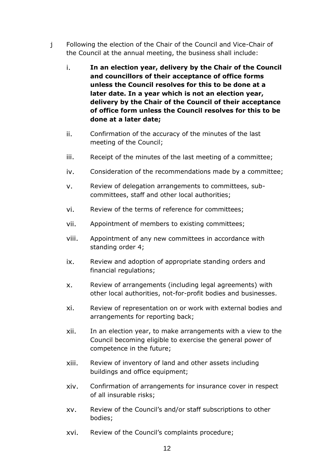- j Following the election of the Chair of the Council and Vice-Chair of the Council at the annual meeting, the business shall include:
	- i. **In an election year, delivery by the Chair of the Council and councillors of their acceptance of office forms unless the Council resolves for this to be done at a later date. In a year which is not an election year, delivery by the Chair of the Council of their acceptance of office form unless the Council resolves for this to be done at a later date;**
	- ii. Confirmation of the accuracy of the minutes of the last meeting of the Council;
	- iii. Receipt of the minutes of the last meeting of a committee;
	- iv. Consideration of the recommendations made by a committee;
	- v. Review of delegation arrangements to committees, subcommittees, staff and other local authorities;
	- vi. Review of the terms of reference for committees;
	- vii. Appointment of members to existing committees;
	- viii. Appointment of any new committees in accordance with standing order 4;
	- ix. Review and adoption of appropriate standing orders and financial regulations;
	- x. Review of arrangements (including legal agreements) with other local authorities, not-for-profit bodies and businesses.
	- xi. Review of representation on or work with external bodies and arrangements for reporting back;
	- xii. In an election year, to make arrangements with a view to the Council becoming eligible to exercise the general power of competence in the future;
	- xiii. Review of inventory of land and other assets including buildings and office equipment;
	- xiv. Confirmation of arrangements for insurance cover in respect of all insurable risks;
	- xv. Review of the Council's and/or staff subscriptions to other bodies;
	- xvi. Review of the Council's complaints procedure;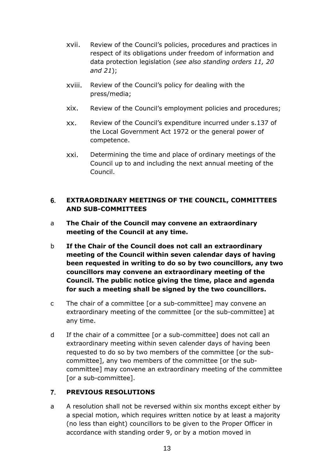- xvii. Review of the Council's policies, procedures and practices in respect of its obligations under freedom of information and data protection legislation (*see also standing orders 11, 20 and 21*);
- xviii. Review of the Council's policy for dealing with the press/media;
- xix. Review of the Council's employment policies and procedures;
- xx. Review of the Council's expenditure incurred under s.137 of the Local Government Act 1972 or the general power of competence.
- xxi. Determining the time and place of ordinary meetings of the Council up to and including the next annual meeting of the Council.

#### <span id="page-12-0"></span>6. **EXTRAORDINARY MEETINGS OF THE COUNCIL, COMMITTEES AND SUB-COMMITTEES**

- a **The Chair of the Council may convene an extraordinary meeting of the Council at any time.**
- b **If the Chair of the Council does not call an extraordinary meeting of the Council within seven calendar days of having been requested in writing to do so by two councillors, any two councillors may convene an extraordinary meeting of the Council. The public notice giving the time, place and agenda for such a meeting shall be signed by the two councillors.**
- c The chair of a committee [or a sub-committee] may convene an extraordinary meeting of the committee [or the sub-committee] at any time.
- d If the chair of a committee [or a sub-committee] does not call an extraordinary meeting within seven calender days of having been requested to do so by two members of the committee [or the subcommittee], any two members of the committee [or the subcommittee] may convene an extraordinary meeting of the committee [or a sub-committee].

#### <span id="page-12-1"></span> $\overline{7}$ **PREVIOUS RESOLUTIONS**

a A resolution shall not be reversed within six months except either by a special motion, which requires written notice by at least a majority (no less than eight) councillors to be given to the Proper Officer in accordance with standing order 9, or by a motion moved in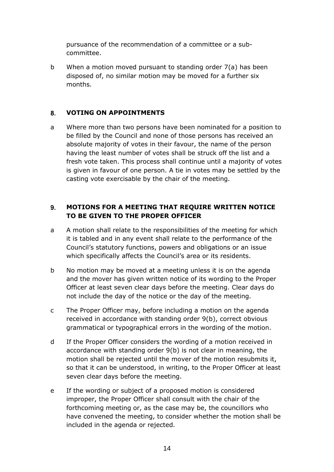pursuance of the recommendation of a committee or a subcommittee.

b When a motion moved pursuant to standing order 7(a) has been disposed of, no similar motion may be moved for a further six months.

#### <span id="page-13-0"></span> $8<sub>1</sub>$ **VOTING ON APPOINTMENTS**

a Where more than two persons have been nominated for a position to be filled by the Council and none of those persons has received an absolute majority of votes in their favour, the name of the person having the least number of votes shall be struck off the list and a fresh vote taken. This process shall continue until a majority of votes is given in favour of one person. A tie in votes may be settled by the casting vote exercisable by the chair of the meeting.

#### <span id="page-13-1"></span> $9<sub>-</sub>$ **MOTIONS FOR A MEETING THAT REQUIRE WRITTEN NOTICE TO BE GIVEN TO THE PROPER OFFICER**

- a A motion shall relate to the responsibilities of the meeting for which it is tabled and in any event shall relate to the performance of the Council's statutory functions, powers and obligations or an issue which specifically affects the Council's area or its residents.
- b No motion may be moved at a meeting unless it is on the agenda and the mover has given written notice of its wording to the Proper Officer at least seven clear days before the meeting. Clear days do not include the day of the notice or the day of the meeting.
- c The Proper Officer may, before including a motion on the agenda received in accordance with standing order 9(b), correct obvious grammatical or typographical errors in the wording of the motion.
- d If the Proper Officer considers the wording of a motion received in accordance with standing order 9(b) is not clear in meaning, the motion shall be rejected until the mover of the motion resubmits it, so that it can be understood, in writing, to the Proper Officer at least seven clear days before the meeting.
- e If the wording or subject of a proposed motion is considered improper, the Proper Officer shall consult with the chair of the forthcoming meeting or, as the case may be, the councillors who have convened the meeting, to consider whether the motion shall be included in the agenda or rejected.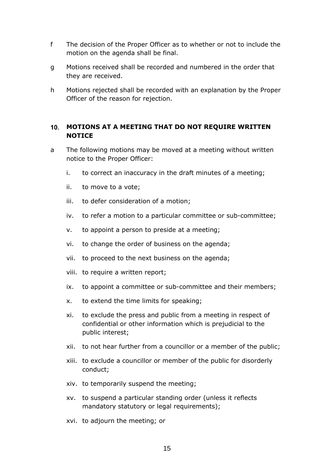- f The decision of the Proper Officer as to whether or not to include the motion on the agenda shall be final.
- g Motions received shall be recorded and numbered in the order that they are received.
- h Motions rejected shall be recorded with an explanation by the Proper Officer of the reason for rejection.

### <span id="page-14-0"></span>**MOTIONS AT A MEETING THAT DO NOT REQUIRE WRITTEN NOTICE**

- a The following motions may be moved at a meeting without written notice to the Proper Officer:
	- i. to correct an inaccuracy in the draft minutes of a meeting;
	- ii. to move to a vote;
	- iii. to defer consideration of a motion;
	- iv. to refer a motion to a particular committee or sub-committee;
	- v. to appoint a person to preside at a meeting;
	- vi. to change the order of business on the agenda;
	- vii. to proceed to the next business on the agenda;
	- viii. to require a written report;
	- ix. to appoint a committee or sub-committee and their members;
	- x. to extend the time limits for speaking;
	- xi. to exclude the press and public from a meeting in respect of confidential or other information which is prejudicial to the public interest;
	- xii. to not hear further from a councillor or a member of the public;
	- xiii. to exclude a councillor or member of the public for disorderly conduct;
	- xiv. to temporarily suspend the meeting;
	- xv. to suspend a particular standing order (unless it reflects mandatory statutory or legal requirements);
	- xvi. to adjourn the meeting; or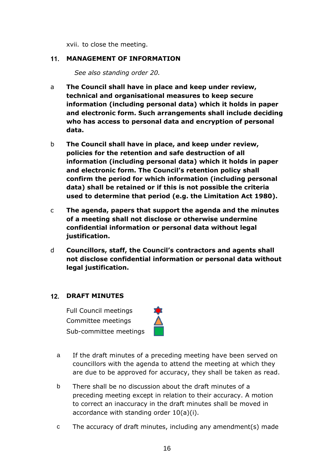xvii. to close the meeting.

#### <span id="page-15-0"></span>**MANAGEMENT OF INFORMATION**

*See also standing order 20.*

- a **The Council shall have in place and keep under review, technical and organisational measures to keep secure information (including personal data) which it holds in paper and electronic form. Such arrangements shall include deciding who has access to personal data and encryption of personal data.**
- b **The Council shall have in place, and keep under review, policies for the retention and safe destruction of all information (including personal data) which it holds in paper and electronic form. The Council's retention policy shall confirm the period for which information (including personal data) shall be retained or if this is not possible the criteria used to determine that period (e.g. the Limitation Act 1980).**
- c **The agenda, papers that support the agenda and the minutes of a meeting shall not disclose or otherwise undermine confidential information or personal data without legal justification.**
- d **Councillors, staff, the Council's contractors and agents shall not disclose confidential information or personal data without legal justification.**

## <span id="page-15-1"></span>**DRAFT MINUTES**

Full Council meetings Committee meetings Sub-committee meetings



- a If the draft minutes of a preceding meeting have been served on councillors with the agenda to attend the meeting at which they are due to be approved for accuracy, they shall be taken as read.
- b There shall be no discussion about the draft minutes of a preceding meeting except in relation to their accuracy. A motion to correct an inaccuracy in the draft minutes shall be moved in accordance with standing order 10(a)(i).
- c The accuracy of draft minutes, including any amendment(s) made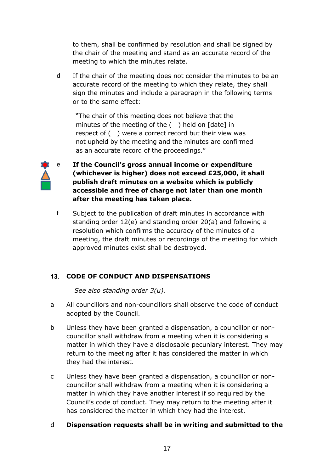to them, shall be confirmed by resolution and shall be signed by the chair of the meeting and stand as an accurate record of the meeting to which the minutes relate.

d If the chair of the meeting does not consider the minutes to be an accurate record of the meeting to which they relate, they shall sign the minutes and include a paragraph in the following terms or to the same effect:

"The chair of this meeting does not believe that the minutes of the meeting of the ( ) held on [date] in respect of ( ) were a correct record but their view was not upheld by the meeting and the minutes are confirmed as an accurate record of the proceedings."



## e **If the Council's gross annual income or expenditure (whichever is higher) does not exceed £25,000, it shall publish draft minutes on a website which is publicly accessible and free of charge not later than one month after the meeting has taken place.**

f Subject to the publication of draft minutes in accordance with standing order 12(e) and standing order 20(a) and following a resolution which confirms the accuracy of the minutes of a meeting, the draft minutes or recordings of the meeting for which approved minutes exist shall be destroyed.

## <span id="page-16-0"></span>**CODE OF CONDUCT AND DISPENSATIONS**

*See also standing order 3(u).*

- a All councillors and non-councillors shall observe the code of conduct adopted by the Council.
- b Unless they have been granted a dispensation, a councillor or noncouncillor shall withdraw from a meeting when it is considering a matter in which they have a disclosable pecuniary interest. They may return to the meeting after it has considered the matter in which they had the interest.
- c Unless they have been granted a dispensation, a councillor or noncouncillor shall withdraw from a meeting when it is considering a matter in which they have another interest if so required by the Council's code of conduct. They may return to the meeting after it has considered the matter in which they had the interest.

## d **Dispensation requests shall be in writing and submitted to the**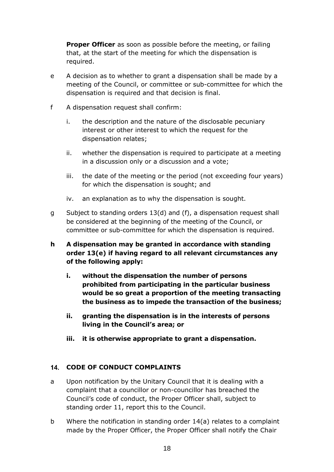**Proper Officer** as soon as possible before the meeting, or failing that, at the start of the meeting for which the dispensation is required.

- e A decision as to whether to grant a dispensation shall be made by a meeting of the Council, or committee or sub-committee for which the dispensation is required and that decision is final.
- f A dispensation request shall confirm:
	- i. the description and the nature of the disclosable pecuniary interest or other interest to which the request for the dispensation relates;
	- ii. whether the dispensation is required to participate at a meeting in a discussion only or a discussion and a vote;
	- iii. the date of the meeting or the period (not exceeding four years) for which the dispensation is sought; and
	- iv. an explanation as to why the dispensation is sought.
- g Subject to standing orders 13(d) and (f), a dispensation request shall be considered at the beginning of the meeting of the Council, or committee or sub-committee for which the dispensation is required.
- **h A dispensation may be granted in accordance with standing order 13(e) if having regard to all relevant circumstances any of the following apply:**
	- **i. without the dispensation the number of persons prohibited from participating in the particular business would be so great a proportion of the meeting transacting the business as to impede the transaction of the business;**
	- **ii. granting the dispensation is in the interests of persons living in the Council's area; or**
	- **iii. it is otherwise appropriate to grant a dispensation.**

## <span id="page-17-0"></span>**CODE OF CONDUCT COMPLAINTS**

- a Upon notification by the Unitary Council that it is dealing with a complaint that a councillor or non-councillor has breached the Council's code of conduct, the Proper Officer shall, subject to standing order 11, report this to the Council.
- b Where the notification in standing order 14(a) relates to a complaint made by the Proper Officer, the Proper Officer shall notify the Chair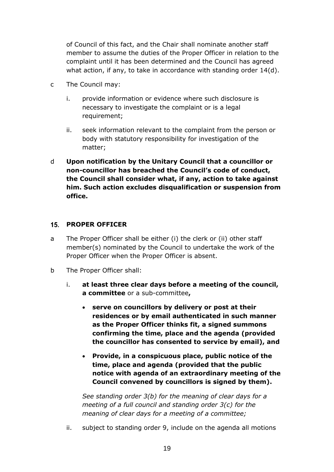of Council of this fact, and the Chair shall nominate another staff member to assume the duties of the Proper Officer in relation to the complaint until it has been determined and the Council has agreed what action, if any, to take in accordance with standing order 14(d).

- c The Council may:
	- i. provide information or evidence where such disclosure is necessary to investigate the complaint or is a legal requirement;
	- ii. seek information relevant to the complaint from the person or body with statutory responsibility for investigation of the matter;
- d **Upon notification by the Unitary Council that a councillor or non-councillor has breached the Council's code of conduct, the Council shall consider what, if any, action to take against him. Such action excludes disqualification or suspension from office.**

#### <span id="page-18-0"></span>**PROPER OFFICER**

- a The Proper Officer shall be either (i) the clerk or (ii) other staff member(s) nominated by the Council to undertake the work of the Proper Officer when the Proper Officer is absent.
- b The Proper Officer shall:
	- i. **at least three clear days before a meeting of the council, a committee** or a sub-committee**,**
		- **serve on councillors by delivery or post at their residences or by email authenticated in such manner as the Proper Officer thinks fit, a signed summons confirming the time, place and the agenda (provided the councillor has consented to service by email), and**
		- **Provide, in a conspicuous place, public notice of the time, place and agenda (provided that the public notice with agenda of an extraordinary meeting of the Council convened by councillors is signed by them).**

*See standing order 3(b) for the meaning of clear days for a meeting of a full council and standing order 3(c) for the meaning of clear days for a meeting of a committee;*

ii. subject to standing order 9, include on the agenda all motions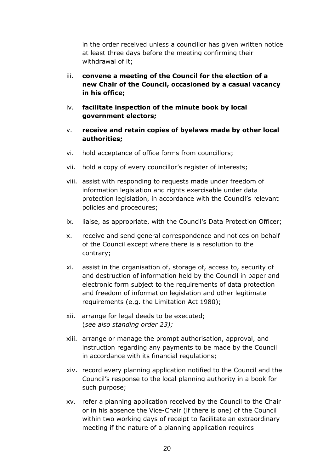in the order received unless a councillor has given written notice at least three days before the meeting confirming their withdrawal of it;

- iii. **convene a meeting of the Council for the election of a new Chair of the Council, occasioned by a casual vacancy in his office;**
- iv. **facilitate inspection of the minute book by local government electors;**
- v. **receive and retain copies of byelaws made by other local authorities;**
- vi. hold acceptance of office forms from councillors;
- vii. hold a copy of every councillor's register of interests;
- viii. assist with responding to requests made under freedom of information legislation and rights exercisable under data protection legislation, in accordance with the Council's relevant policies and procedures;
- ix. liaise, as appropriate, with the Council's Data Protection Officer;
- x. receive and send general correspondence and notices on behalf of the Council except where there is a resolution to the contrary;
- xi. assist in the organisation of, storage of, access to, security of and destruction of information held by the Council in paper and electronic form subject to the requirements of data protection and freedom of information legislation and other legitimate requirements (e.g. the Limitation Act 1980);
- xii. arrange for legal deeds to be executed; (*see also standing order 23);*
- xiii. arrange or manage the prompt authorisation, approval, and instruction regarding any payments to be made by the Council in accordance with its financial regulations;
- xiv. record every planning application notified to the Council and the Council's response to the local planning authority in a book for such purpose;
- xv. refer a planning application received by the Council to the Chair or in his absence the Vice-Chair (if there is one) of the Council within two working days of receipt to facilitate an extraordinary meeting if the nature of a planning application requires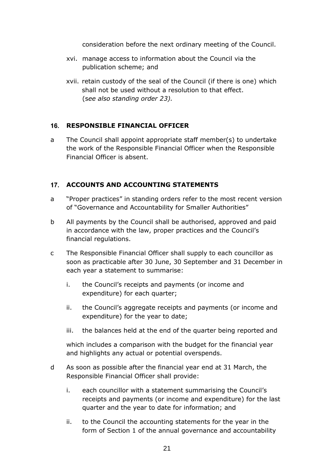consideration before the next ordinary meeting of the Council.

- xvi. manage access to information about the Council via the publication scheme; and
- xvii. retain custody of the seal of the Council (if there is one) which shall not be used without a resolution to that effect. (s*ee also standing order 23).*

## <span id="page-20-0"></span>**RESPONSIBLE FINANCIAL OFFICER**

a The Council shall appoint appropriate staff member(s) to undertake the work of the Responsible Financial Officer when the Responsible Financial Officer is absent.

#### <span id="page-20-1"></span>**17. ACCOUNTS AND ACCOUNTING STATEMENTS**

- a "Proper practices" in standing orders refer to the most recent version of "Governance and Accountability for Smaller Authorities"
- b All payments by the Council shall be authorised, approved and paid in accordance with the law, proper practices and the Council's financial regulations.
- c The Responsible Financial Officer shall supply to each councillor as soon as practicable after 30 June, 30 September and 31 December in each year a statement to summarise:
	- i. the Council's receipts and payments (or income and expenditure) for each quarter;
	- ii. the Council's aggregate receipts and payments (or income and expenditure) for the year to date;
	- iii. the balances held at the end of the quarter being reported and

which includes a comparison with the budget for the financial year and highlights any actual or potential overspends.

- d As soon as possible after the financial year end at 31 March, the Responsible Financial Officer shall provide:
	- i. each councillor with a statement summarising the Council's receipts and payments (or income and expenditure) for the last quarter and the year to date for information; and
	- ii. to the Council the accounting statements for the year in the form of Section 1 of the annual governance and accountability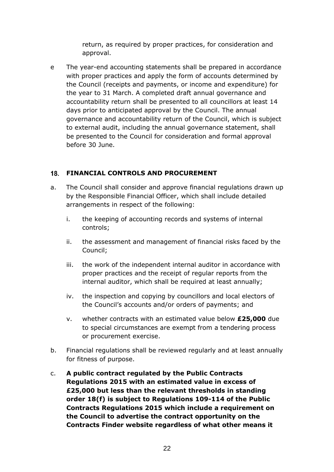return, as required by proper practices, for consideration and approval.

e The year-end accounting statements shall be prepared in accordance with proper practices and apply the form of accounts determined by the Council (receipts and payments, or income and expenditure) for the year to 31 March. A completed draft annual governance and accountability return shall be presented to all councillors at least 14 days prior to anticipated approval by the Council. The annual governance and accountability return of the Council, which is subject to external audit, including the annual governance statement, shall be presented to the Council for consideration and formal approval before 30 June.

## <span id="page-21-0"></span>**FINANCIAL CONTROLS AND PROCUREMENT**

- a. The Council shall consider and approve financial regulations drawn up by the Responsible Financial Officer, which shall include detailed arrangements in respect of the following:
	- i. the keeping of accounting records and systems of internal controls;
	- ii. the assessment and management of financial risks faced by the Council;
	- iii. the work of the independent internal auditor in accordance with proper practices and the receipt of regular reports from the internal auditor, which shall be required at least annually;
	- iv. the inspection and copying by councillors and local electors of the Council's accounts and/or orders of payments; and
	- v. whether contracts with an estimated value below **£25,000** due to special circumstances are exempt from a tendering process or procurement exercise.
- b. Financial regulations shall be reviewed regularly and at least annually for fitness of purpose.
- c. **A public contract regulated by the Public Contracts Regulations 2015 with an estimated value in excess of £25,000 but less than the relevant thresholds in standing order 18(f) is subject to Regulations 109-114 of the Public Contracts Regulations 2015 which include a requirement on the Council to advertise the contract opportunity on the Contracts Finder website regardless of what other means it**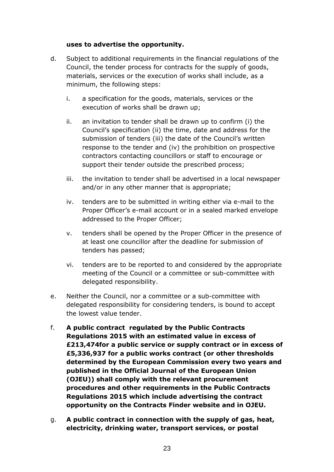#### **uses to advertise the opportunity.**

- d. Subject to additional requirements in the financial regulations of the Council, the tender process for contracts for the supply of goods, materials, services or the execution of works shall include, as a minimum, the following steps:
	- i. a specification for the goods, materials, services or the execution of works shall be drawn up;
	- ii. an invitation to tender shall be drawn up to confirm (i) the Council's specification (ii) the time, date and address for the submission of tenders (iii) the date of the Council's written response to the tender and (iv) the prohibition on prospective contractors contacting councillors or staff to encourage or support their tender outside the prescribed process;
	- iii. the invitation to tender shall be advertised in a local newspaper and/or in any other manner that is appropriate;
	- iv. tenders are to be submitted in writing either via e-mail to the Proper Officer's e-mail account or in a sealed marked envelope addressed to the Proper Officer;
	- v. tenders shall be opened by the Proper Officer in the presence of at least one councillor after the deadline for submission of tenders has passed;
	- vi. tenders are to be reported to and considered by the appropriate meeting of the Council or a committee or sub-committee with delegated responsibility.
- e. Neither the Council, nor a committee or a sub-committee with delegated responsibility for considering tenders, is bound to accept the lowest value tender.
- f. **A public contract regulated by the Public Contracts Regulations 2015 with an estimated value in excess of £213,474for a public service or supply contract or in excess of £5,336,937 for a public works contract (or other thresholds determined by the European Commission every two years and published in the Official Journal of the European Union (OJEU)) shall comply with the relevant procurement procedures and other requirements in the Public Contracts Regulations 2015 which include advertising the contract opportunity on the Contracts Finder website and in OJEU.**
- g. **A public contract in connection with the supply of gas, heat, electricity, drinking water, transport services, or postal**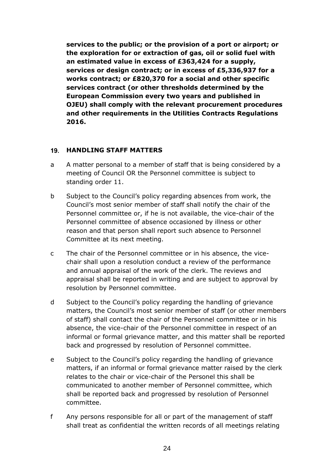**services to the public; or the provision of a port or airport; or the exploration for or extraction of gas, oil or solid fuel with an estimated value in excess of £363,424 for a supply, services or design contract; or in excess of £5,336,937 for a works contract; or £820,370 for a social and other specific services contract (or other thresholds determined by the European Commission every two years and published in OJEU) shall comply with the relevant procurement procedures and other requirements in the Utilities Contracts Regulations 2016.**

#### <span id="page-23-0"></span>**HANDLING STAFF MATTERS**

- a A matter personal to a member of staff that is being considered by a meeting of Council OR the Personnel committee is subject to standing order 11.
- b Subject to the Council's policy regarding absences from work, the Council's most senior member of staff shall notify the chair of the Personnel committee or, if he is not available, the vice-chair of the Personnel committee of absence occasioned by illness or other reason and that person shall report such absence to Personnel Committee at its next meeting.
- c The chair of the Personnel committee or in his absence, the vicechair shall upon a resolution conduct a review of the performance and annual appraisal of the work of the clerk. The reviews and appraisal shall be reported in writing and are subject to approval by resolution by Personnel committee.
- d Subject to the Council's policy regarding the handling of grievance matters, the Council's most senior member of staff (or other members of staff) shall contact the chair of the Personnel committee or in his absence, the vice-chair of the Personnel committee in respect of an informal or formal grievance matter, and this matter shall be reported back and progressed by resolution of Personnel committee.
- e Subject to the Council's policy regarding the handling of grievance matters, if an informal or formal grievance matter raised by the clerk relates to the chair or vice-chair of the Personel this shall be communicated to another member of Personnel committee, which shall be reported back and progressed by resolution of Personnel committee.
- f Any persons responsible for all or part of the management of staff shall treat as confidential the written records of all meetings relating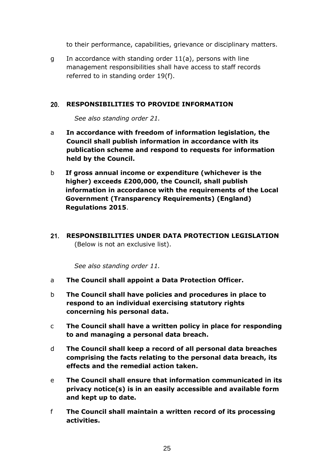to their performance, capabilities, grievance or disciplinary matters.

g In accordance with standing order 11(a), persons with line management responsibilities shall have access to staff records referred to in standing order 19(f).

#### <span id="page-24-0"></span>**RESPONSIBILITIES TO PROVIDE INFORMATION**

*See also standing order 21.*

- a **In accordance with freedom of information legislation, the Council shall publish information in accordance with its publication scheme and respond to requests for information held by the Council.**
- b **If gross annual income or expenditure (whichever is the higher) exceeds £200,000, the Council, shall publish information in accordance with the requirements of the Local Government (Transparency Requirements) (England) Regulations 2015**.
- <span id="page-24-1"></span>**RESPONSIBILITIES UNDER DATA PROTECTION LEGISLATION**  (Below is not an exclusive list).

*See also standing order 11.*

- a **The Council shall appoint a Data Protection Officer.**
- b **The Council shall have policies and procedures in place to respond to an individual exercising statutory rights concerning his personal data.**
- c **The Council shall have a written policy in place for responding to and managing a personal data breach.**
- d **The Council shall keep a record of all personal data breaches comprising the facts relating to the personal data breach, its effects and the remedial action taken.**
- e **The Council shall ensure that information communicated in its privacy notice(s) is in an easily accessible and available form and kept up to date.**
- f **The Council shall maintain a written record of its processing activities.**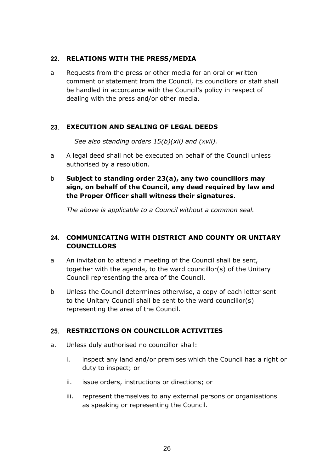#### <span id="page-25-0"></span>22. RELATIONS WITH THE PRESS/MEDIA

a Requests from the press or other media for an oral or written comment or statement from the Council, its councillors or staff shall be handled in accordance with the Council's policy in respect of dealing with the press and/or other media.

#### <span id="page-25-1"></span>**EXECUTION AND SEALING OF LEGAL DEEDS**

*See also standing orders 15(b)(xii) and (xvii).*

a A legal deed shall not be executed on behalf of the Council unless authorised by a resolution.

## b **Subject to standing order 23(a), any two councillors may sign, on behalf of the Council, any deed required by law and the Proper Officer shall witness their signatures.**

*The above is applicable to a Council without a common seal.*

## <span id="page-25-2"></span>**COMMUNICATING WITH DISTRICT AND COUNTY OR UNITARY COUNCILLORS**

- a An invitation to attend a meeting of the Council shall be sent, together with the agenda, to the ward councillor(s) of the Unitary Council representing the area of the Council.
- b Unless the Council determines otherwise, a copy of each letter sent to the Unitary Council shall be sent to the ward councillor(s) representing the area of the Council.

## <span id="page-25-3"></span>**RESTRICTIONS ON COUNCILLOR ACTIVITIES**

- a. Unless duly authorised no councillor shall:
	- i. inspect any land and/or premises which the Council has a right or duty to inspect; or
	- ii. issue orders, instructions or directions; or
	- iii. represent themselves to any external persons or organisations as speaking or representing the Council.